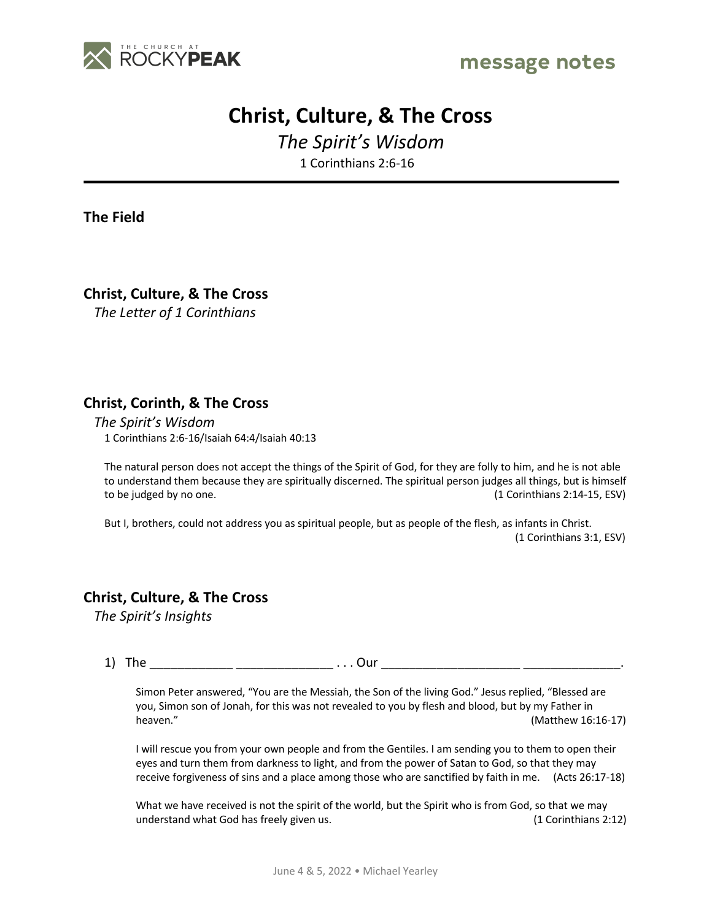



## **Christ, Culture, & The Cross**

*The Spirit's Wisdom* 1 Corinthians 2:6-16

**The Field**

**Christ, Culture, & The Cross**

*The Letter of 1 Corinthians*

## **Christ, Corinth, & The Cross**

*The Spirit's Wisdom* 1 Corinthians 2:6-16/Isaiah 64:4/Isaiah 40:13

The natural person does not accept the things of the Spirit of God, for they are folly to him, and he is not able to understand them because they are spiritually discerned. The spiritual person judges all things, but is himself to be judged by no one. (1 Corinthians 2:14-15, ESV)

But I, brothers, could not address you as spiritual people, but as people of the flesh, as infants in Christ. (1 Corinthians 3:1, ESV)

## **Christ, Culture, & The Cross**

*The Spirit's Insights*

1) The \_\_\_\_\_\_\_\_\_\_\_\_\_\_\_\_\_\_\_\_\_\_\_\_\_\_\_\_\_\_\_\_ . . . Our \_\_\_\_\_\_\_\_\_\_\_\_\_\_\_\_\_\_\_\_\_\_\_\_\_\_\_\_\_\_\_

Simon Peter answered, "You are the Messiah, the Son of the living God." Jesus replied, "Blessed are you, Simon son of Jonah, for this was not revealed to you by flesh and blood, but by my Father in heaven." (Matthew 16:16-17)

I will rescue you from your own people and from the Gentiles. I am sending you to them to open their eyes and turn them from darkness to light, and from the power of Satan to God, so that they may receive forgiveness of sins and a place among those who are sanctified by faith in me. (Acts 26:17-18)

What we have received is not the spirit of the world, but the Spirit who is from God, so that we may understand what God has freely given us. (1 Corinthians 2:12)